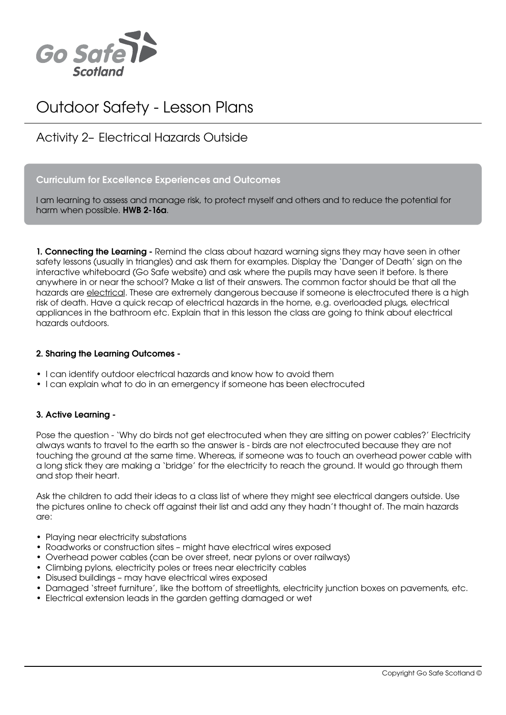

# Outdoor Safety - Lesson Plans

## Activity 2– Electrical Hazards Outside

#### Curriculum for Excellence Experiences and Outcomes

I am learning to assess and manage risk, to protect myself and others and to reduce the potential for harm when possible. HWB 2-16a.

1. Connecting the Learning - Remind the class about hazard warning signs they may have seen in other safety lessons (usually in triangles) and ask them for examples. Display the 'Danger of Death' sign on the interactive whiteboard (Go Safe website) and ask where the pupils may have seen it before. Is there anywhere in or near the school? Make a list of their answers. The common factor should be that all the hazards are electrical. These are extremely dangerous because if someone is electrocuted there is a high risk of death. Have a quick recap of electrical hazards in the home, e.g. overloaded plugs, electrical appliances in the bathroom etc. Explain that in this lesson the class are going to think about electrical hazards outdoors.

#### 2. Sharing the Learning Outcomes -

- I can identify outdoor electrical hazards and know how to avoid them
- • I can explain what to do in an emergency if someone has been electrocuted

#### 3. Active Learning -

Pose the question - 'Why do birds not get electrocuted when they are sitting on power cables?' Electricity always wants to travel to the earth so the answer is - birds are not electrocuted because they are not touching the ground at the same time. Whereas, if someone was to touch an overhead power cable with a long stick they are making a 'bridge' for the electricity to reach the ground. It would go through them and stop their heart.

Ask the children to add their ideas to a class list of where they might see electrical dangers outside. Use the pictures online to check off against their list and add any they hadn't thought of. The main hazards are:

- Playing near electricity substations
- Roadworks or construction sites might have electrical wires exposed
- • Overhead power cables (can be over street, near pylons or over railways)
- Climbing pylons, electricity poles or trees near electricity cables
- Disused buildings may have electrical wires exposed
- Damaged 'street furniture', like the bottom of streetlights, electricity junction boxes on pavements, etc.
- Electrical extension leads in the garden getting damaged or wet